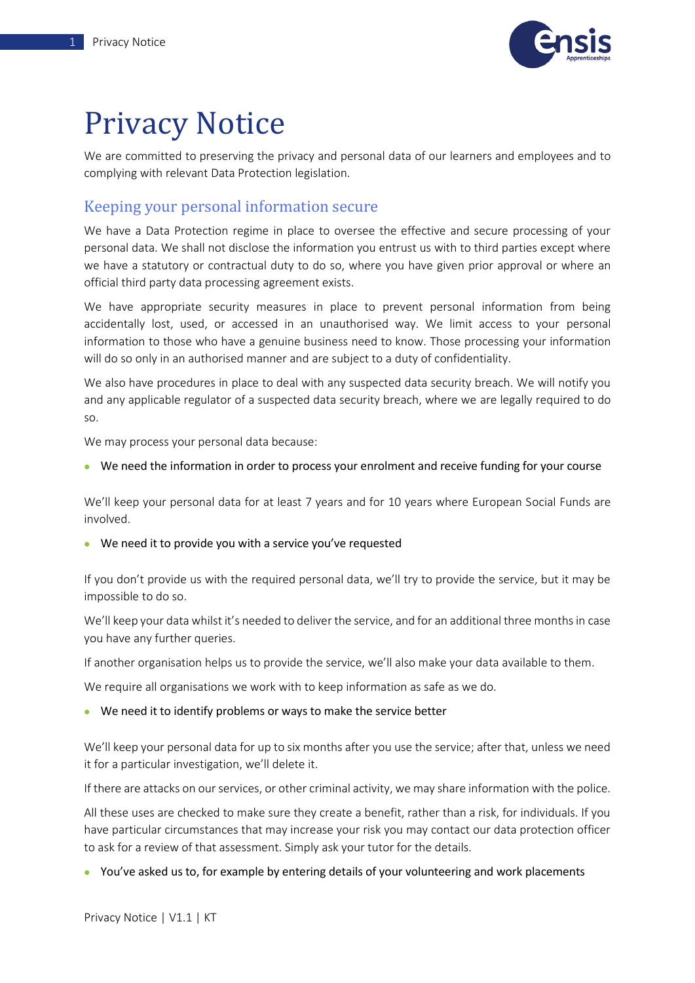

## Privacy Notice

We are committed to preserving the privacy and personal data of our learners and employees and to complying with relevant Data Protection legislation.

## Keeping your personal information secure

We have a Data Protection regime in place to oversee the effective and secure processing of your personal data. We shall not disclose the information you entrust us with to third parties except where we have a statutory or contractual duty to do so, where you have given prior approval or where an official third party data processing agreement exists.

We have appropriate security measures in place to prevent personal information from being accidentally lost, used, or accessed in an unauthorised way. We limit access to your personal information to those who have a genuine business need to know. Those processing your information will do so only in an authorised manner and are subject to a duty of confidentiality.

We also have procedures in place to deal with any suspected data security breach. We will notify you and any applicable regulator of a suspected data security breach, where we are legally required to do so.

We may process your personal data because:

• We need the information in order to process your enrolment and receive funding for your course

We'll keep your personal data for at least 7 years and for 10 years where European Social Funds are involved.

• We need it to provide you with a service you've requested

If you don't provide us with the required personal data, we'll try to provide the service, but it may be impossible to do so.

We'll keep your data whilst it's needed to deliver the service, and for an additional three months in case you have any further queries.

If another organisation helps us to provide the service, we'll also make your data available to them.

We require all organisations we work with to keep information as safe as we do.

## • We need it to identify problems or ways to make the service better

We'll keep your personal data for up to six months after you use the service; after that, unless we need it for a particular investigation, we'll delete it.

If there are attacks on our services, or other criminal activity, we may share information with the police.

All these uses are checked to make sure they create a benefit, rather than a risk, for individuals. If you have particular circumstances that may increase your risk you may contact our data protection officer to ask for a review of that assessment. Simply ask your tutor for the details.

• You've asked us to, for example by entering details of your volunteering and work placements